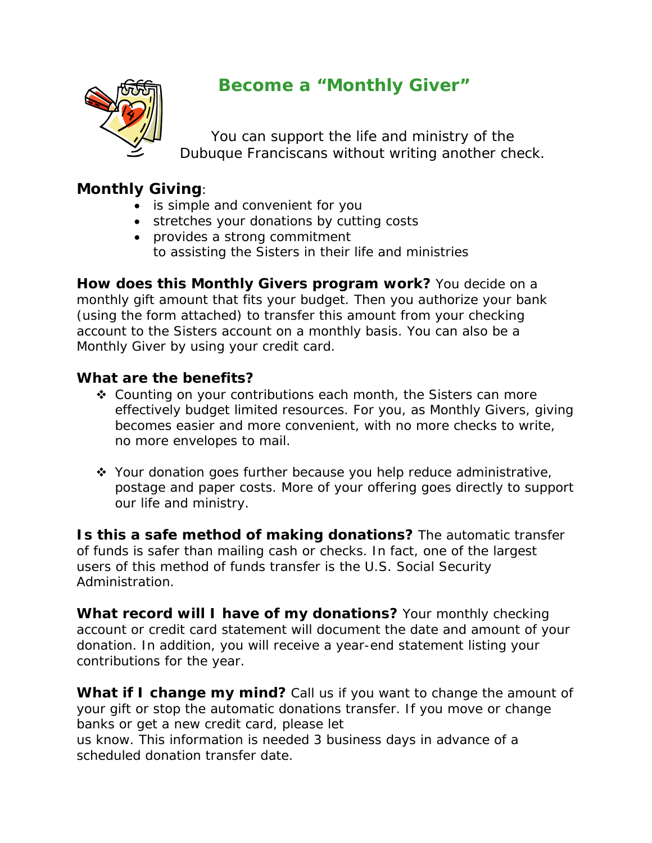

# **Become a "Monthly Giver"**

 You can support the life and ministry of the Dubuque Franciscans without writing another check.

## *Monthly Giving:*

- is simple and convenient for you
- stretches your donations by cutting costs
- provides a strong commitment to assisting the Sisters in their life and ministries

**How does this Monthly Givers program work?** You decide on a monthly gift amount that fits your budget. Then you authorize your bank (using the form attached) to transfer this amount from your checking account to the Sisters account on a monthly basis. You can also be a Monthly Giver by using your credit card.

## **What are the benefits?**

- ◆ Counting on your contributions each month, the Sisters can more effectively budget limited resources. For you, as Monthly Givers, giving becomes easier and more convenient, with no more checks to write, no more envelopes to mail.
- ◆ Your donation goes further because you help reduce administrative, postage and paper costs. More of your offering goes directly to support our life and ministry.

**Is this a safe method of making donations?** The automatic transfer of funds is safer than mailing cash or checks. In fact, one of the largest users of this method of funds transfer is the U.S. Social Security Administration.

**What record will I have of my donations?** Your monthly checking account or credit card statement will document the date and amount of your donation. In addition, you will receive a year-end statement listing your contributions for the year.

**What if I change my mind?** Call us if you want to change the amount of your gift or stop the automatic donations transfer. If you move or change banks or get a new credit card, please let

us know. This information is needed 3 business days in advance of a scheduled donation transfer date.